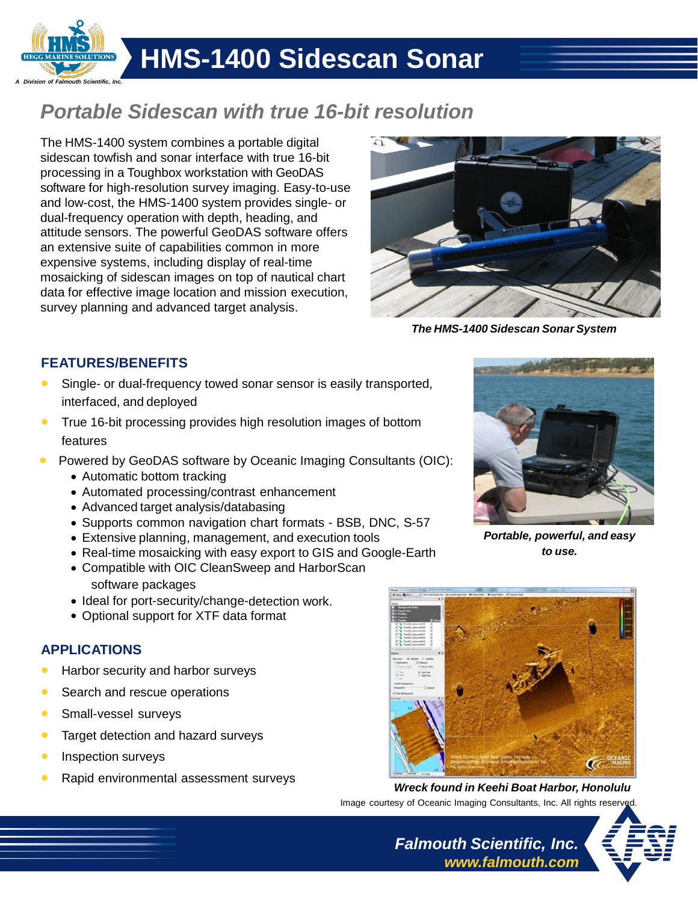

## **HMS-1400 Sidescan Sonar**

### *Portable Sidescan with true 16-bit resolution*

The HMS-1400 system combines a portable digital sidescan towfish and sonar interface with true 16-bit processing in a Toughbox workstation with GeoDAS software for high-resolution survey imaging. Easy-to-use and low-cost, the HMS-1400 system provides single- or dual-frequency operation with depth, heading, and attitude sensors. The powerful GeoDAS software offers an extensive suite of capabilities common in more expensive systems, including display of real-time mosaicking of sidescan images on top of nautical chart data for effective image location and mission execution, survey planning and advanced target analysis.



*The HMS-1400 Sidescan Sonar System*

#### **FEATURES/BENEFITS**

- Single- or dual-frequency towed sonar sensor is easily transported, interfaced, and deployed
- **True 16-bit processing provides high resolution images of bottom** features
- Powered by GeoDAS software by Oceanic Imaging Consultants (OIC):
	- Automatic bottom tracking
	- Automated processing/contrast enhancement
	- Advanced target analysis/databasing
	- Supports common navigation chart formats BSB, DNC, S-57
	- Extensive planning, management, and execution tools
	- Real-time mosaicking with easy export to GIS and Google-Earth
	- Compatible with OIC CleanSweep and HarborScan software packages
	- Ideal for port-security/change-detection work.
	- Optional support for XTF data format

#### **APPLICATIONS**

- Harbor security and harbor surveys
- Search and rescue operations
- **Small-vessel surveys**
- Target detection and hazard surveys
- Inspection surveys
- Rapid environmental assessment surveys



*Portable, powerful, and easy to use.*



*Wreck found in Keehi Boat Harbor, Honolulu* Image courtesy of Oceanic Imaging Consultants, Inc. All rights reserved

*Falmouth Scientific, Inc.*

*[www.falmouth.com](http://www.falmouth.com/)*